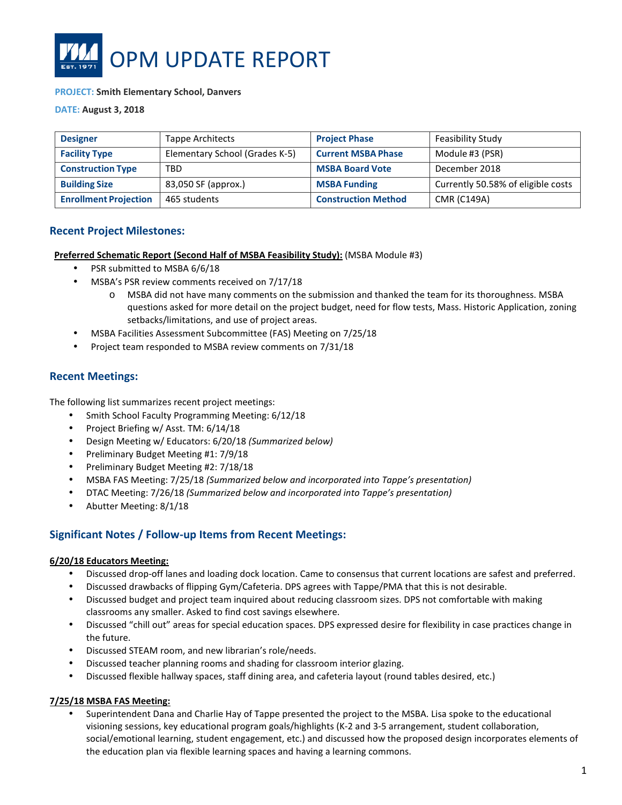

#### **PROJECT: Smith Elementary School, Danvers**

**DATE: August 3, 2018**

| <b>Designer</b>              | Tappe Architects               | <b>Project Phase</b>       | Feasibility Study                  |
|------------------------------|--------------------------------|----------------------------|------------------------------------|
| <b>Facility Type</b>         | Elementary School (Grades K-5) | <b>Current MSBA Phase</b>  | Module #3 (PSR)                    |
| <b>Construction Type</b>     | <b>TBD</b>                     | <b>MSBA Board Vote</b>     | December 2018                      |
| <b>Building Size</b>         | 83,050 SF (approx.)            | <b>MSBA Funding</b>        | Currently 50.58% of eligible costs |
| <b>Enrollment Projection</b> | 465 students                   | <b>Construction Method</b> | <b>CMR (C149A)</b>                 |

## **Recent Project Milestones:**

**Preferred Schematic Report (Second Half of MSBA Feasibility Study):** (MSBA Module #3)

- PSR submitted to MSBA 6/6/18
- MSBA's PSR review comments received on 7/17/18
	- o MSBA did not have many comments on the submission and thanked the team for its thoroughness. MSBA questions asked for more detail on the project budget, need for flow tests, Mass. Historic Application, zoning setbacks/limitations, and use of project areas.
- MSBA Facilities Assessment Subcommittee (FAS) Meeting on 7/25/18
- Project team responded to MSBA review comments on 7/31/18

## **Recent Meetings:**

The following list summarizes recent project meetings:

- Smith School Faculty Programming Meeting: 6/12/18
- Project Briefing w/ Asst. TM: 6/14/18
- Design Meeting w/ Educators: 6/20/18 *(Summarized below)*
- Preliminary Budget Meeting #1: 7/9/18
- Preliminary Budget Meeting #2: 7/18/18
- MSBA FAS Meeting: 7/25/18 *(Summarized below and incorporated into Tappe's presentation)*
- DTAC Meeting: 7/26/18 *(Summarized below and incorporated into Tappe's presentation)*
- Abutter Meeting: 8/1/18

## **Significant Notes / Follow-up Items from Recent Meetings:**

#### **6/20/18 Educators Meeting:**

- Discussed drop-off lanes and loading dock location. Came to consensus that current locations are safest and preferred.
- Discussed drawbacks of flipping Gym/Cafeteria. DPS agrees with Tappe/PMA that this is not desirable.
- Discussed budget and project team inquired about reducing classroom sizes. DPS not comfortable with making classrooms any smaller. Asked to find cost savings elsewhere.
- Discussed "chill out" areas for special education spaces. DPS expressed desire for flexibility in case practices change in the future.
- Discussed STEAM room, and new librarian's role/needs.
- Discussed teacher planning rooms and shading for classroom interior glazing.
- Discussed flexible hallway spaces, staff dining area, and cafeteria layout (round tables desired, etc.)

#### **7/25/18 MSBA FAS Meeting:**

• Superintendent Dana and Charlie Hay of Tappe presented the project to the MSBA. Lisa spoke to the educational visioning sessions, key educational program goals/highlights (K-2 and 3-5 arrangement, student collaboration, social/emotional learning, student engagement, etc.) and discussed how the proposed design incorporates elements of the education plan via flexible learning spaces and having a learning commons.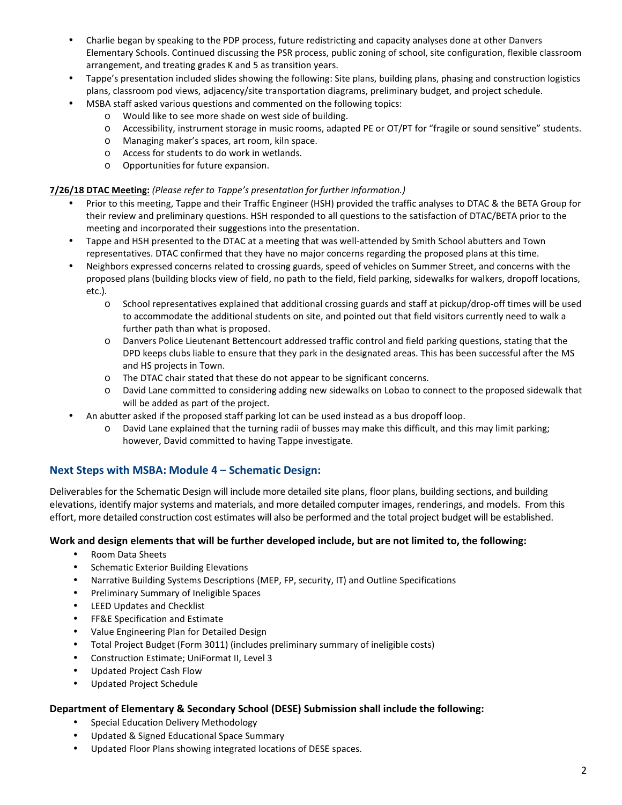- Charlie began by speaking to the PDP process, future redistricting and capacity analyses done at other Danvers Elementary Schools. Continued discussing the PSR process, public zoning of school, site configuration, flexible classroom arrangement, and treating grades K and 5 as transition years.
- Tappe's presentation included slides showing the following: Site plans, building plans, phasing and construction logistics plans, classroom pod views, adjacency/site transportation diagrams, preliminary budget, and project schedule.
- MSBA staff asked various questions and commented on the following topics:
	- o Would like to see more shade on west side of building.
	- o Accessibility, instrument storage in music rooms, adapted PE or OT/PT for "fragile or sound sensitive" students.
	- o Managing maker's spaces, art room, kiln space.
	- o Access for students to do work in wetlands.
	- o Opportunities for future expansion.

#### **7/26/18 DTAC Meeting:** *(Please refer to Tappe's presentation for further information.)*

- Prior to this meeting, Tappe and their Traffic Engineer (HSH) provided the traffic analyses to DTAC & the BETA Group for their review and preliminary questions. HSH responded to all questions to the satisfaction of DTAC/BETA prior to the meeting and incorporated their suggestions into the presentation.
- Tappe and HSH presented to the DTAC at a meeting that was well-attended by Smith School abutters and Town representatives. DTAC confirmed that they have no major concerns regarding the proposed plans at this time.
- Neighbors expressed concerns related to crossing guards, speed of vehicles on Summer Street, and concerns with the proposed plans (building blocks view of field, no path to the field, field parking, sidewalks for walkers, dropoff locations, etc.).
	- o School representatives explained that additional crossing guards and staff at pickup/drop-off times will be used to accommodate the additional students on site, and pointed out that field visitors currently need to walk a further path than what is proposed.
	- o Danvers Police Lieutenant Bettencourt addressed traffic control and field parking questions, stating that the DPD keeps clubs liable to ensure that they park in the designated areas. This has been successful after the MS and HS projects in Town.
	- o The DTAC chair stated that these do not appear to be significant concerns.
	- o David Lane committed to considering adding new sidewalks on Lobao to connect to the proposed sidewalk that will be added as part of the project.
	- An abutter asked if the proposed staff parking lot can be used instead as a bus dropoff loop.
		- o David Lane explained that the turning radii of busses may make this difficult, and this may limit parking; however, David committed to having Tappe investigate.

## **Next Steps with MSBA: Module 4 – Schematic Design:**

Deliverables for the Schematic Design will include more detailed site plans, floor plans, building sections, and building elevations, identify major systems and materials, and more detailed computer images, renderings, and models. From this effort, more detailed construction cost estimates will also be performed and the total project budget will be established.

#### **Work and design elements that will be further developed include, but are not limited to, the following:**

- Room Data Sheets
- Schematic Exterior Building Elevations
- Narrative Building Systems Descriptions (MEP, FP, security, IT) and Outline Specifications
- Preliminary Summary of Ineligible Spaces
- LEED Updates and Checklist
- FF&E Specification and Estimate
- Value Engineering Plan for Detailed Design
- Total Project Budget (Form 3011) (includes preliminary summary of ineligible costs)
- Construction Estimate; UniFormat II, Level 3
- Updated Project Cash Flow
- Updated Project Schedule

## **Department of Elementary & Secondary School (DESE) Submission shall include the following:**

- Special Education Delivery Methodology
- Updated & Signed Educational Space Summary
- Updated Floor Plans showing integrated locations of DESE spaces.